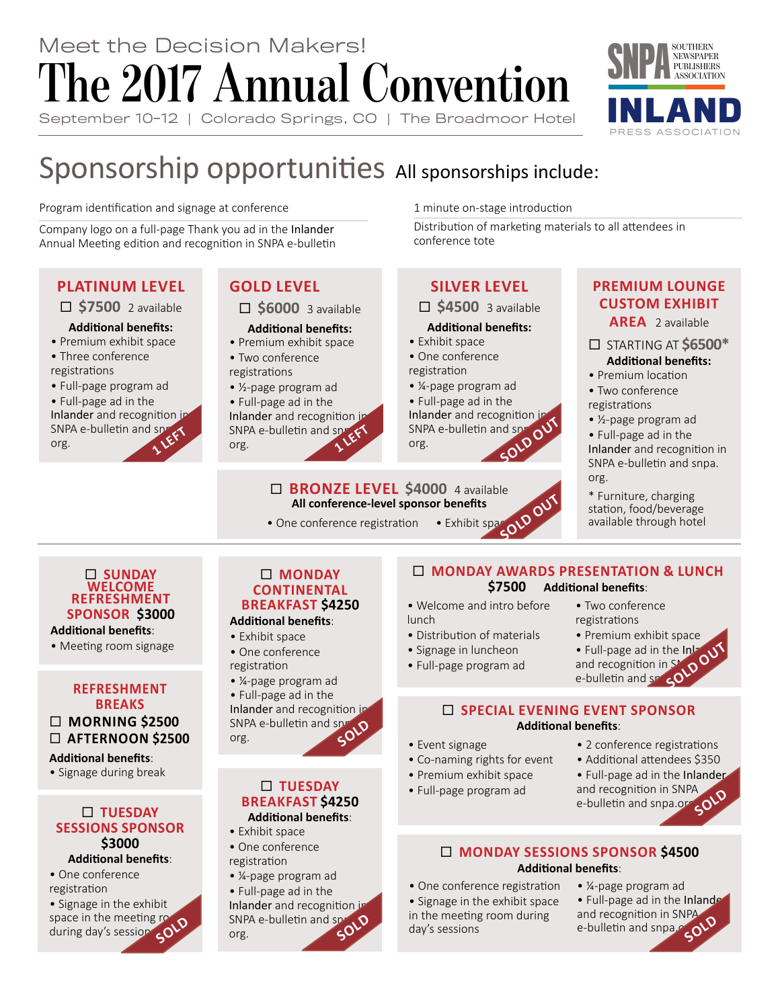# **The 2017 Annual Convention** September 10-12 | Colorado Springs, CO | The Broadmoor Hotel Meet the Decision Makers!



# Sponsorship opportunities All sponsorships include:

Program identification and signage at conference

Company logo on a full-page Thank you ad in the Inlander Annual Meeting edition and recognition in SNPA e-bulletin

### **PLATINUM LEVEL**

### **\$7500** 2 available

### **Additional benefits:**

- Premium exhibit space
- Three conference registrations
- Full-page program ad

• Full-page ad in the Inlander and recognition in SNPA e-bulletin and sn<sub>ew</sub> org.

### **GOLD LEVEL**

**\$6000** 3 available

### **Additional benefits:**

- Premium exhibit space
- Two conference registrations
- ½-page program ad
- Full-page ad in the

Inlander and recognition in SNPA e-bulletin and sn<sub>rFFT</sub> org.

1 minute on-stage introduction

Distribution of marketing materials to all attendees in

### **SILVER LEVEL**

□ \$4500 3 available

### **Additional benefits:**

• Exhibit space

 **BRONZE LEVEL \$4000** 4 available **All conference-level sponsor benefits** • One conference registration • Exhibit space

• One conference registration

conference tote

- ¼-page program ad
- Full-page ad in the

Inlander and recognition in SNPA e-bulletin and sp org. **SOL** 

### **PREMIUM LOUNGE CUSTOM EXHIBIT**

**AREA** 2 available

- STARTING AT **\$6500\***
- **Additional benefits:** • Premium location
- Two conference registrations
- ½-page program ad
- Full-page ad in the

Inlander and recognition in SNPA e-bulletin and snpa. org.

\* Furniture, charging station, food/beverage available through hotel

### **SUNDAY WELCOME REFRESHMENT SPONSOR \$3000**

**Additional benefits**:

• Meeting room signage

### **REFRESHMENT BREAKS MORNING \$2500 AFTERNOON \$2500**

**Additional benefits**:

• Signage during break

### **TUESDAY SESSIONS SPONSOR \$3000 Additional benefits**:

• One conference

registration

• Signage in the exhibit<br>space in the meeting re space in the meeting  $r_{\odot}$ space in the meeting **repair**<br>during day's session **SOLD** 

### **MONDAY CONTINENTAL BREAKFAST \$4250**

### **Additional benefits**:

- Exhibit space
- One conference registration
- ¼-page program ad
- Full-page ad in the

Inlander and recognition in SNPA e-bulletin and spr org. **SOLD**

### **TUESDAY BREAKFAST \$4250 Additional benefits**:

# • Exhibit space

- One conference registration
- ¼-page program ad
- Full-page ad in the

Inlander and recognition in SNPA e-bulletin and sproto org.

### **MONDAY AWARDS PRESENTATION & LUNCH \$7500 Additional benefits**:

- Welcome and intro before lunch
- Distribution of materials
- Signage in luncheon
- Full-page ad in the Inland  $\mathcal{N}$ and recognition in  $S^{\bullet}, \bullet$ **e-** Full-page ad in the Inland recognition in SND OUT
	-

• Two conference registrations

### **SPECIAL EVENING EVENT SPONSOR Additional benefits**:

- Event signage
- Co-naming rights for event
- Premium exhibit space
- Full-page program ad
- 2 conference registrations
- Additional attendees \$350
- Full-page ad in the Inlander and recognition in SNPA
- e-bulletin and snpa.org **SOLD**

### **MONDAY SESSIONS SPONSOR \$4500 Additional benefits**:

- One conference registration • Signage in the exhibit space
- in the meeting room during day's sessions
- ¼-page program ad • Full-page ad in the Inlander and recognition in SNPA e-bulletin and snpa.colD

• Full-page program ad

• Premium exhibit space

**SOLD OUT**

- 
- -

- 
- 
- 
-